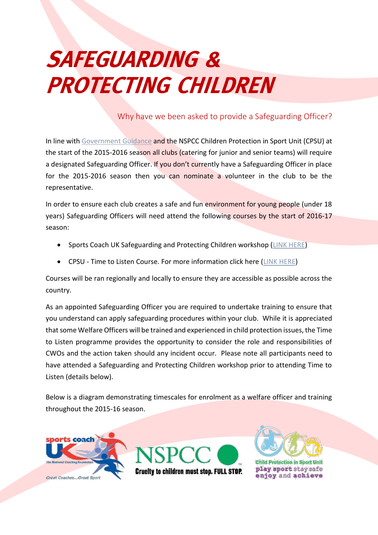## **SAFEGUARDING & PROTECTING CHILDREN**

## Why have we been asked to provide a Safeguarding Officer?

In line wit[h Government Guidance](http://www.workingtogetheronline.co.uk/documents/Working_TogetherFINAL.pdf) and the NSPCC Children Protection in Sport Unit (CPSU) at the start of the 2015-2016 season all clubs (catering for junior and senior teams) will require a designated Safeguarding Officer. If you don't currently have a Safeguarding Officer in place for the 2015-2016 season then you can nominate a volunteer in the club to be the representative.

In order to ensure each club creates a safe and fun environment for young people (under 18 years) Safeguarding Officers will need attend the following courses by the start of 2016-17 season:

- Sports Coach UK Safeguarding and Protecting Children workshop [\(LINK HERE\)](file://server/company/Old%20Server/Documents/Membership/2015-2016%20Membership/•%09http:/www.sportscoachuk.org/site-tools/workshops/about-our-workshops/safeguarding-and-protecting-children)
- CPSU Time to Listen Course. For more information click here [\(LINK HERE\)](https://thecpsu.org.uk/news/2014/july/multi-sport-time-to-listen-club-welfare-officers/)

Courses will be ran regionally and locally to ensure they are accessible as possible across the country.

As an appointed Safeguarding Officer you are required to undertake training to ensure that you understand can apply safeguarding procedures within your club. While it is appreciated that some Welfare Officers will be trained and experienced in child protection issues, the Time to Listen programme provides the opportunity to consider the role and responsibilities of CWOs and the action taken should any incident occur. Please note all participants need to have attended a Safeguarding and Protecting Children workshop prior to attending Time to Listen (details below).

Below is a diagram demonstrating timescales for enrolment as a welfare officer and training throughout the 2015-16 season.







**Child Protection in Sport** play sport stay safe enjoy and achieve